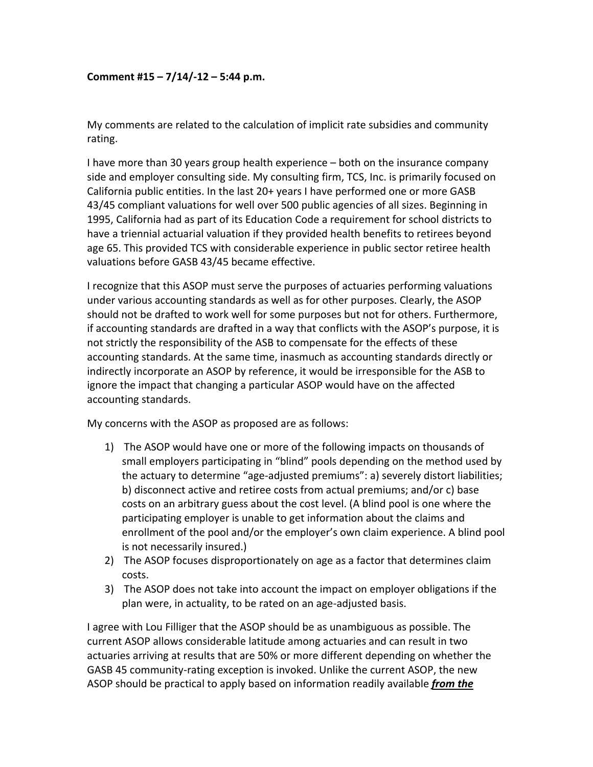## **Comment #15 – 7/14/‐12 – 5:44 p.m.**

My comments are related to the calculation of implicit rate subsidies and community rating.

I have more than 30 years group health experience – both on the insurance company side and employer consulting side. My consulting firm, TCS, Inc. is primarily focused on California public entities. In the last 20+ years I have performed one or more GASB 43/45 compliant valuations for well over 500 public agencies of all sizes. Beginning in 1995, California had as part of its Education Code a requirement for school districts to have a triennial actuarial valuation if they provided health benefits to retirees beyond age 65. This provided TCS with considerable experience in public sector retiree health valuations before GASB 43/45 became effective.

I recognize that this ASOP must serve the purposes of actuaries performing valuations under various accounting standards as well as for other purposes. Clearly, the ASOP should not be drafted to work well for some purposes but not for others. Furthermore, if accounting standards are drafted in a way that conflicts with the ASOP's purpose, it is not strictly the responsibility of the ASB to compensate for the effects of these accounting standards. At the same time, inasmuch as accounting standards directly or indirectly incorporate an ASOP by reference, it would be irresponsible for the ASB to ignore the impact that changing a particular ASOP would have on the affected accounting standards.

My concerns with the ASOP as proposed are as follows:

- 1) The ASOP would have one or more of the following impacts on thousands of small employers participating in "blind" pools depending on the method used by the actuary to determine "age‐adjusted premiums": a) severely distort liabilities; b) disconnect active and retiree costs from actual premiums; and/or c) base costs on an arbitrary guess about the cost level. (A blind pool is one where the participating employer is unable to get information about the claims and enrollment of the pool and/or the employer's own claim experience. A blind pool is not necessarily insured.)
- 2) The ASOP focuses disproportionately on age as a factor that determines claim costs.
- 3) The ASOP does not take into account the impact on employer obligations if the plan were, in actuality, to be rated on an age‐adjusted basis.

I agree with Lou Filliger that the ASOP should be as unambiguous as possible. The current ASOP allows considerable latitude among actuaries and can result in two actuaries arriving at results that are 50% or more different depending on whether the GASB 45 community‐rating exception is invoked. Unlike the current ASOP, the new ASOP should be practical to apply based on information readily available *from the*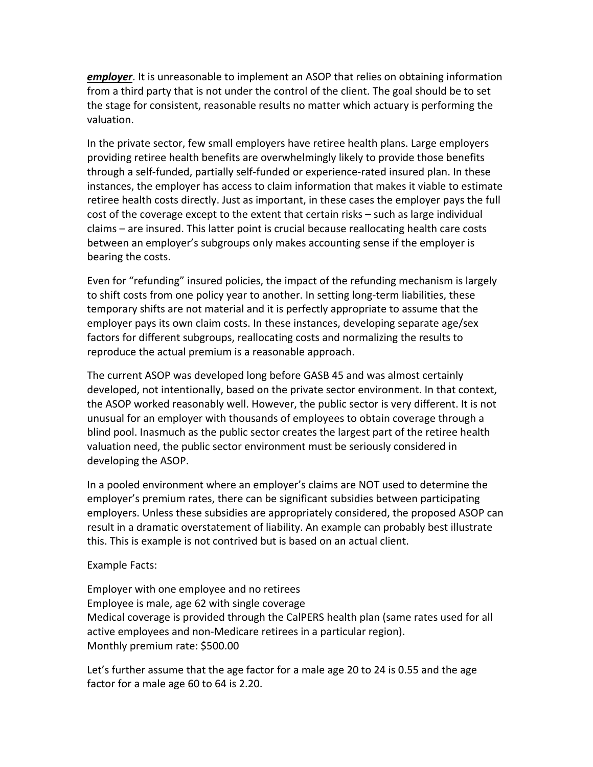*employer*. It is unreasonable to implement an ASOP that relies on obtaining information from a third party that is not under the control of the client. The goal should be to set the stage for consistent, reasonable results no matter which actuary is performing the valuation.

In the private sector, few small employers have retiree health plans. Large employers providing retiree health benefits are overwhelmingly likely to provide those benefits through a self‐funded, partially self‐funded or experience‐rated insured plan. In these instances, the employer has access to claim information that makes it viable to estimate retiree health costs directly. Just as important, in these cases the employer pays the full cost of the coverage except to the extent that certain risks – such as large individual claims – are insured. This latter point is crucial because reallocating health care costs between an employer's subgroups only makes accounting sense if the employer is bearing the costs.

Even for "refunding" insured policies, the impact of the refunding mechanism is largely to shift costs from one policy year to another. In setting long-term liabilities, these temporary shifts are not material and it is perfectly appropriate to assume that the employer pays its own claim costs. In these instances, developing separate age/sex factors for different subgroups, reallocating costs and normalizing the results to reproduce the actual premium is a reasonable approach.

The current ASOP was developed long before GASB 45 and was almost certainly developed, not intentionally, based on the private sector environment. In that context, the ASOP worked reasonably well. However, the public sector is very different. It is not unusual for an employer with thousands of employees to obtain coverage through a blind pool. Inasmuch as the public sector creates the largest part of the retiree health valuation need, the public sector environment must be seriously considered in developing the ASOP.

In a pooled environment where an employer's claims are NOT used to determine the employer's premium rates, there can be significant subsidies between participating employers. Unless these subsidies are appropriately considered, the proposed ASOP can result in a dramatic overstatement of liability. An example can probably best illustrate this. This is example is not contrived but is based on an actual client.

Example Facts:

Employer with one employee and no retirees Employee is male, age 62 with single coverage Medical coverage is provided through the CalPERS health plan (same rates used for all active employees and non‐Medicare retirees in a particular region). Monthly premium rate: \$500.00

Let's further assume that the age factor for a male age 20 to 24 is 0.55 and the age factor for a male age 60 to 64 is 2.20.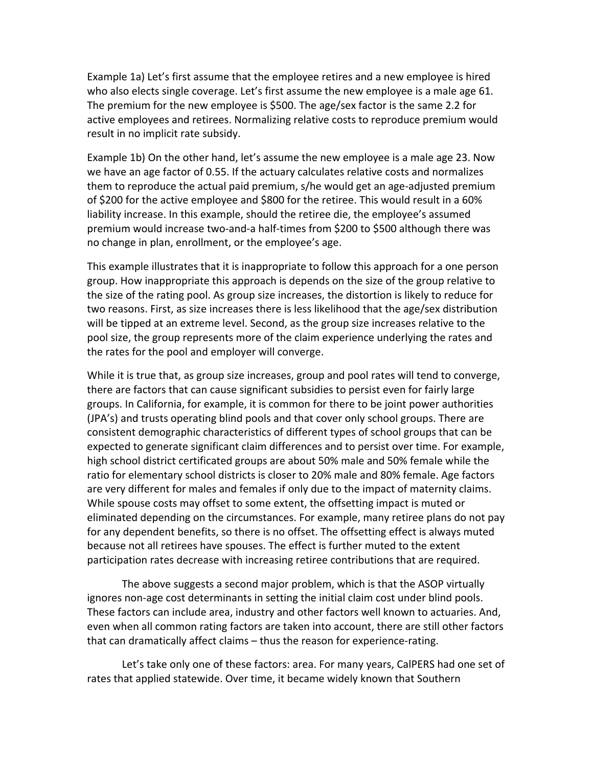Example 1a) Let's first assume that the employee retires and a new employee is hired who also elects single coverage. Let's first assume the new employee is a male age 61. The premium for the new employee is \$500. The age/sex factor is the same 2.2 for active employees and retirees. Normalizing relative costs to reproduce premium would result in no implicit rate subsidy.

Example 1b) On the other hand, let's assume the new employee is a male age 23. Now we have an age factor of 0.55. If the actuary calculates relative costs and normalizes them to reproduce the actual paid premium, s/he would get an age-adjusted premium of \$200 for the active employee and \$800 for the retiree. This would result in a 60% liability increase. In this example, should the retiree die, the employee's assumed premium would increase two-and-a half-times from \$200 to \$500 although there was no change in plan, enrollment, or the employee's age.

This example illustrates that it is inappropriate to follow this approach for a one person group. How inappropriate this approach is depends on the size of the group relative to the size of the rating pool. As group size increases, the distortion is likely to reduce for two reasons. First, as size increases there is less likelihood that the age/sex distribution will be tipped at an extreme level. Second, as the group size increases relative to the pool size, the group represents more of the claim experience underlying the rates and the rates for the pool and employer will converge.

While it is true that, as group size increases, group and pool rates will tend to converge, there are factors that can cause significant subsidies to persist even for fairly large groups. In California, for example, it is common for there to be joint power authorities (JPA's) and trusts operating blind pools and that cover only school groups. There are consistent demographic characteristics of different types of school groups that can be expected to generate significant claim differences and to persist over time. For example, high school district certificated groups are about 50% male and 50% female while the ratio for elementary school districts is closer to 20% male and 80% female. Age factors are very different for males and females if only due to the impact of maternity claims. While spouse costs may offset to some extent, the offsetting impact is muted or eliminated depending on the circumstances. For example, many retiree plans do not pay for any dependent benefits, so there is no offset. The offsetting effect is always muted because not all retirees have spouses. The effect is further muted to the extent participation rates decrease with increasing retiree contributions that are required.

The above suggests a second major problem, which is that the ASOP virtually ignores non‐age cost determinants in setting the initial claim cost under blind pools. These factors can include area, industry and other factors well known to actuaries. And, even when all common rating factors are taken into account, there are still other factors that can dramatically affect claims – thus the reason for experience‐rating.

Let's take only one of these factors: area. For many years, CalPERS had one set of rates that applied statewide. Over time, it became widely known that Southern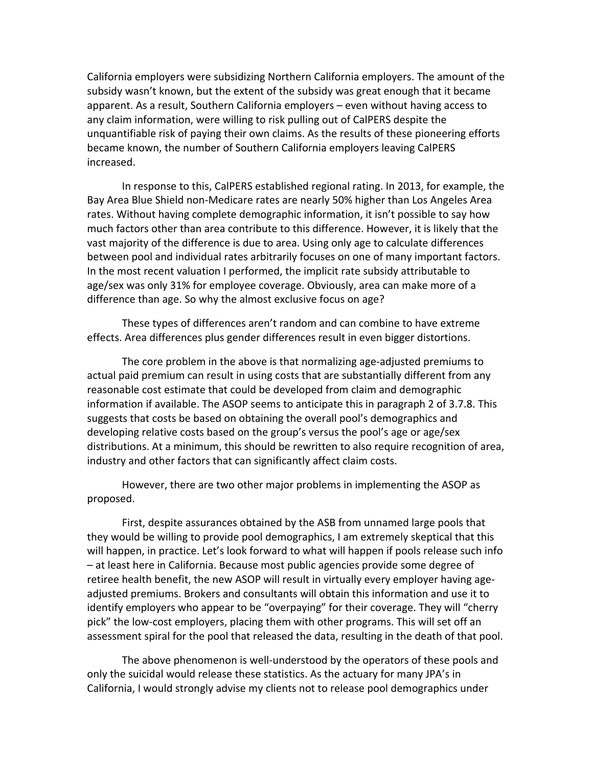California employers were subsidizing Northern California employers. The amount of the subsidy wasn't known, but the extent of the subsidy was great enough that it became apparent. As a result, Southern California employers – even without having access to any claim information, were willing to risk pulling out of CalPERS despite the unquantifiable risk of paying their own claims. As the results of these pioneering efforts became known, the number of Southern California employers leaving CalPERS increased.

In response to this, CalPERS established regional rating. In 2013, for example, the Bay Area Blue Shield non‐Medicare rates are nearly 50% higher than Los Angeles Area rates. Without having complete demographic information, it isn't possible to say how much factors other than area contribute to this difference. However, it is likely that the vast majority of the difference is due to area. Using only age to calculate differences between pool and individual rates arbitrarily focuses on one of many important factors. In the most recent valuation I performed, the implicit rate subsidy attributable to age/sex was only 31% for employee coverage. Obviously, area can make more of a difference than age. So why the almost exclusive focus on age?

These types of differences aren't random and can combine to have extreme effects. Area differences plus gender differences result in even bigger distortions.

The core problem in the above is that normalizing age‐adjusted premiums to actual paid premium can result in using costs that are substantially different from any reasonable cost estimate that could be developed from claim and demographic information if available. The ASOP seems to anticipate this in paragraph 2 of 3.7.8. This suggests that costs be based on obtaining the overall pool's demographics and developing relative costs based on the group's versus the pool's age or age/sex distributions. At a minimum, this should be rewritten to also require recognition of area, industry and other factors that can significantly affect claim costs.

However, there are two other major problems in implementing the ASOP as proposed.

First, despite assurances obtained by the ASB from unnamed large pools that they would be willing to provide pool demographics, I am extremely skeptical that this will happen, in practice. Let's look forward to what will happen if pools release such info – at least here in California. Because most public agencies provide some degree of retiree health benefit, the new ASOP will result in virtually every employer having age‐ adjusted premiums. Brokers and consultants will obtain this information and use it to identify employers who appear to be "overpaying" for their coverage. They will "cherry pick" the low‐cost employers, placing them with other programs. This will set off an assessment spiral for the pool that released the data, resulting in the death of that pool.

The above phenomenon is well-understood by the operators of these pools and only the suicidal would release these statistics. As the actuary for many JPA's in California, I would strongly advise my clients not to release pool demographics under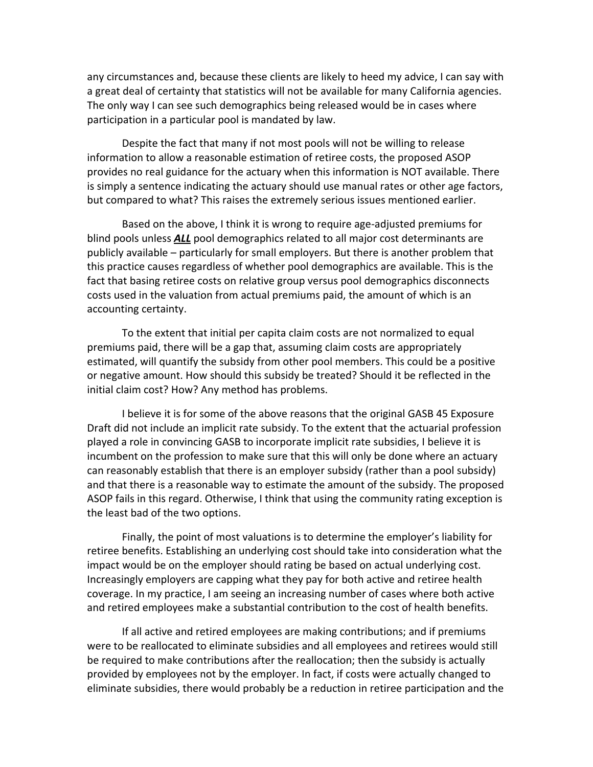any circumstances and, because these clients are likely to heed my advice, I can say with a great deal of certainty that statistics will not be available for many California agencies. The only way I can see such demographics being released would be in cases where participation in a particular pool is mandated by law.

Despite the fact that many if not most pools will not be willing to release information to allow a reasonable estimation of retiree costs, the proposed ASOP provides no real guidance for the actuary when this information is NOT available. There is simply a sentence indicating the actuary should use manual rates or other age factors, but compared to what? This raises the extremely serious issues mentioned earlier.

Based on the above, I think it is wrong to require age‐adjusted premiums for blind pools unless *ALL* pool demographics related to all major cost determinants are publicly available – particularly for small employers. But there is another problem that this practice causes regardless of whether pool demographics are available. This is the fact that basing retiree costs on relative group versus pool demographics disconnects costs used in the valuation from actual premiums paid, the amount of which is an accounting certainty.

To the extent that initial per capita claim costs are not normalized to equal premiums paid, there will be a gap that, assuming claim costs are appropriately estimated, will quantify the subsidy from other pool members. This could be a positive or negative amount. How should this subsidy be treated? Should it be reflected in the initial claim cost? How? Any method has problems.

I believe it is for some of the above reasons that the original GASB 45 Exposure Draft did not include an implicit rate subsidy. To the extent that the actuarial profession played a role in convincing GASB to incorporate implicit rate subsidies, I believe it is incumbent on the profession to make sure that this will only be done where an actuary can reasonably establish that there is an employer subsidy (rather than a pool subsidy) and that there is a reasonable way to estimate the amount of the subsidy. The proposed ASOP fails in this regard. Otherwise, I think that using the community rating exception is the least bad of the two options.

Finally, the point of most valuations is to determine the employer's liability for retiree benefits. Establishing an underlying cost should take into consideration what the impact would be on the employer should rating be based on actual underlying cost. Increasingly employers are capping what they pay for both active and retiree health coverage. In my practice, I am seeing an increasing number of cases where both active and retired employees make a substantial contribution to the cost of health benefits.

If all active and retired employees are making contributions; and if premiums were to be reallocated to eliminate subsidies and all employees and retirees would still be required to make contributions after the reallocation; then the subsidy is actually provided by employees not by the employer. In fact, if costs were actually changed to eliminate subsidies, there would probably be a reduction in retiree participation and the